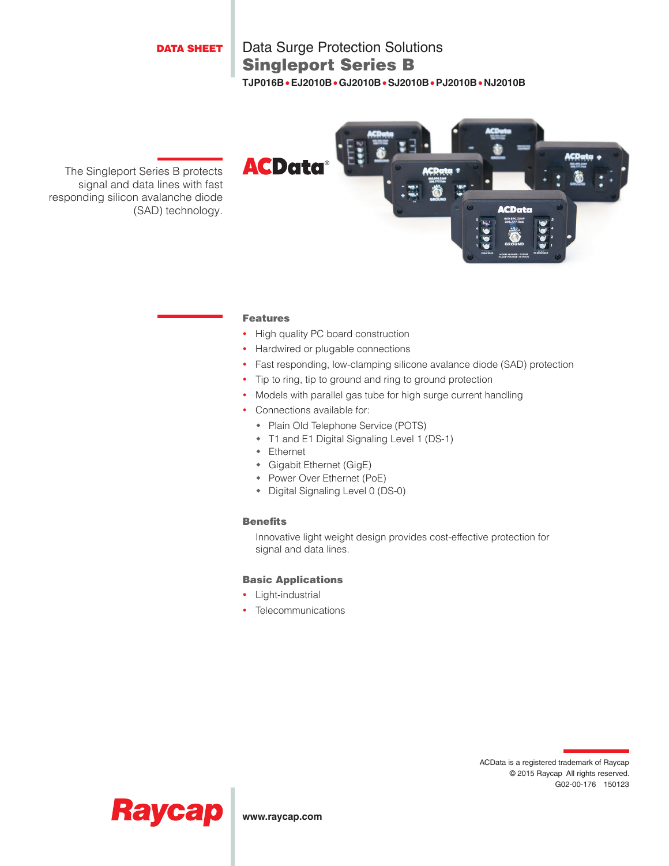#### DATA SHEET

## Singleport Series B Data Surge Protection Solutions **TJP016B**•**EJ2010B**•**GJ2010B**•**SJ2010B**•**PJ2010B**•**NJ2010B**

The Singleport Series B protects signal and data lines with fast responding silicon avalanche diode (SAD) technology.



#### Features

- High quality PC board construction
- Hardwired or plugable connections
- Fast responding, low-clamping silicone avalance diode (SAD) protection
- Tip to ring, tip to ground and ring to ground protection
- Models with parallel gas tube for high surge current handling
- Connections available for:
	- Plain Old Telephone Service (POTS)
	- T1 and E1 Digital Signaling Level 1 (DS-1)
	- Ethernet
	- Gigabit Ethernet (GigE)
	- Power Over Ethernet (PoE)
	- Digital Signaling Level 0 (DS-0)

#### Benefits

Innovative light weight design provides cost-effective protection for signal and data lines.

#### Basic Applications

- Light-industrial
- Telecommunications





**www.raycap.com**